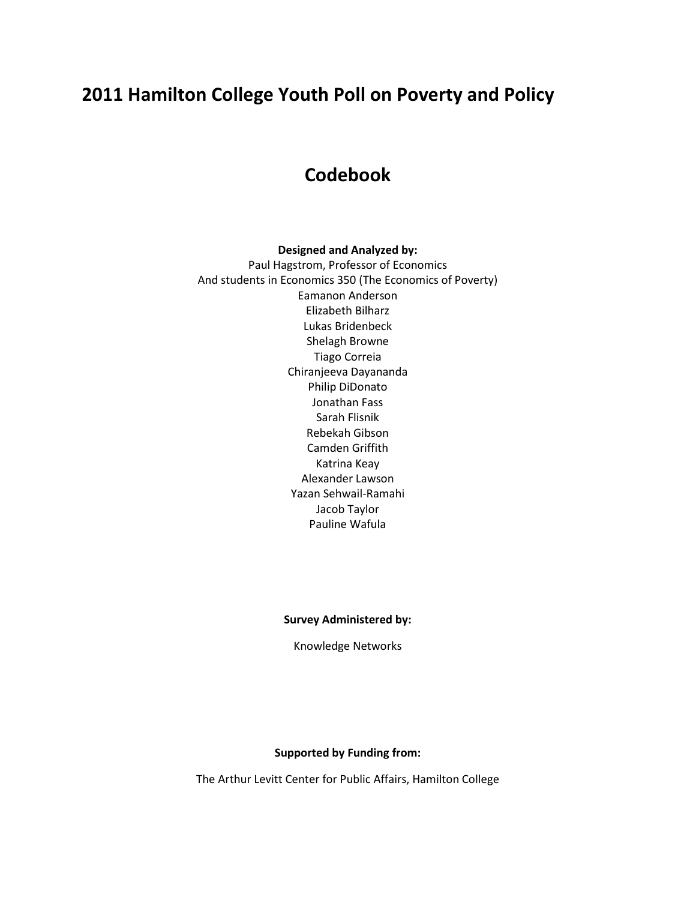# **2011 Hamilton College Youth Poll on Poverty and Policy**

# **Codebook**

#### **Designed and Analyzed by:**

Paul Hagstrom, Professor of Economics And students in Economics 350 (The Economics of Poverty) Eamanon Anderson Elizabeth Bilharz Lukas Bridenbeck Shelagh Browne Tiago Correia Chiranjeeva Dayananda Philip DiDonato Jonathan Fass Sarah Flisnik Rebekah Gibson Camden Griffith Katrina Keay Alexander Lawson Yazan Sehwail-Ramahi Jacob Taylor Pauline Wafula

**Survey Administered by:**

Knowledge Networks

#### **Supported by Funding from:**

The Arthur Levitt Center for Public Affairs, Hamilton College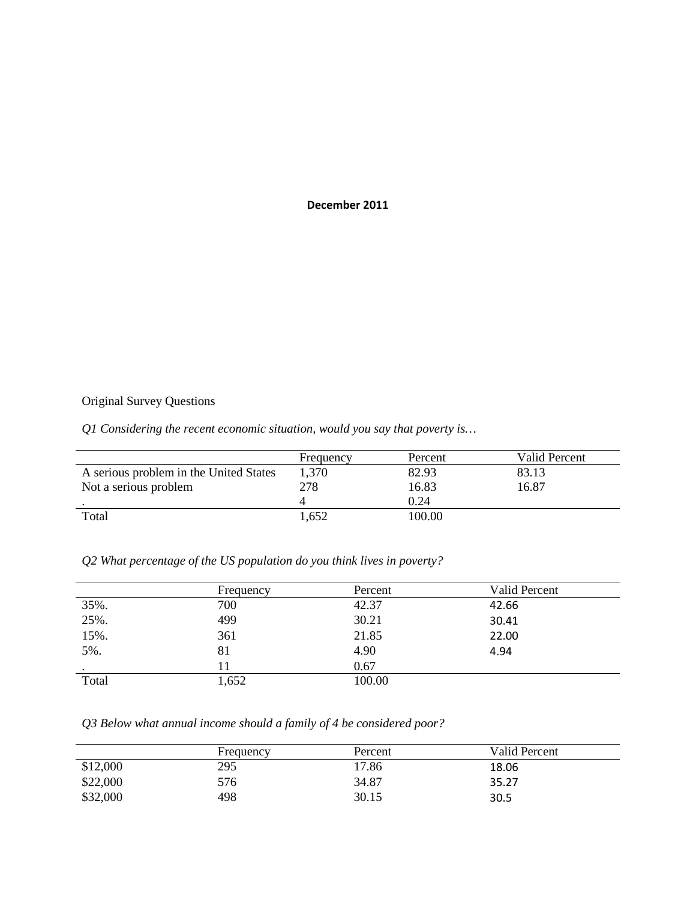#### **December 2011**

# Original Survey Questions

# *Q1 Considering the recent economic situation, would you say that poverty is…*

|                                        | Frequency | Percent | Valid Percent |
|----------------------------------------|-----------|---------|---------------|
| A serious problem in the United States | 1,370     | 82.93   | 83.13         |
| Not a serious problem                  | 278       | 16.83   | 16.87         |
|                                        |           | 0.24    |               |
| Total                                  | 1,652     | 100.00  |               |

## *Q2 What percentage of the US population do you think lives in poverty?*

|       | Frequency | Percent | <b>Valid Percent</b> |
|-------|-----------|---------|----------------------|
| 35%.  | 700       | 42.37   | 42.66                |
| 25%.  | 499       | 30.21   | 30.41                |
| 15%.  | 361       | 21.85   | 22.00                |
| 5%.   | 81        | 4.90    | 4.94                 |
|       |           | 0.67    |                      |
| Total | 1,652     | 100.00  |                      |

# *Q3 Below what annual income should a family of 4 be considered poor?*

|          | Frequency | Percent | Valid Percent |
|----------|-----------|---------|---------------|
| \$12,000 | 295       | 17.86   | 18.06         |
| \$22,000 | 576       | 34.87   | 35.27         |
| \$32,000 | 498       | 30.15   | 30.5          |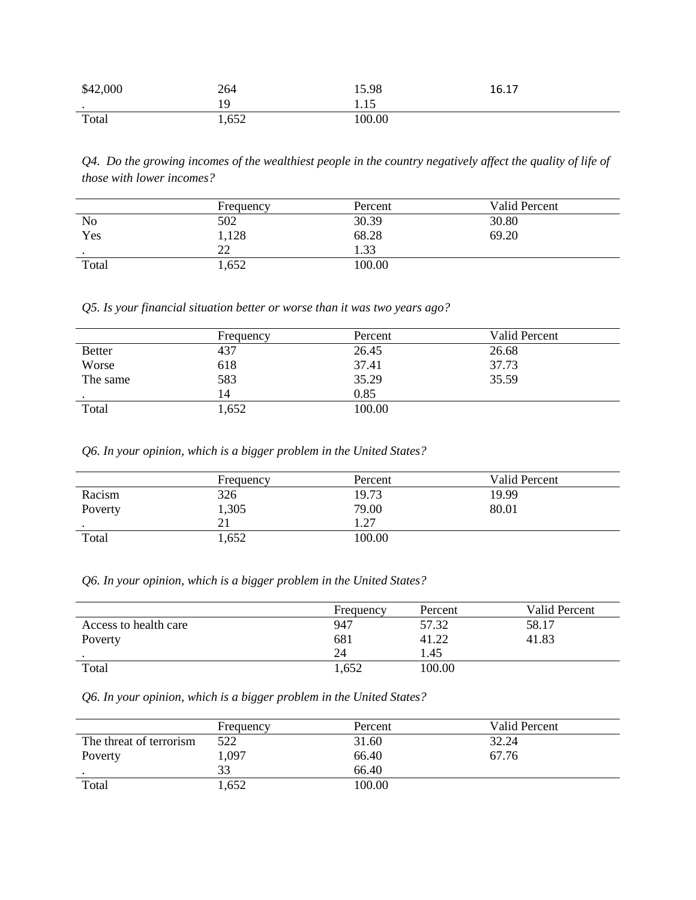| \$42,000  | 264          | 15.98  | 16.17 |
|-----------|--------------|--------|-------|
| $\bullet$ |              | 1.15   |       |
| Total     | 652<br>1,032 | 100.00 |       |

*Q4. Do the growing incomes of the wealthiest people in the country negatively affect the quality of life of those with lower incomes?* 

|                 | Frequency | Percent | Valid Percent |
|-----------------|-----------|---------|---------------|
| N <sub>o</sub>  | 502       | 30.39   | 30.80         |
| Yes             | 1,128     | 68.28   | 69.20         |
| $\cdot$ $\cdot$ | つつ<br>∠∠  | 1.33    |               |
| Total           | 1,652     | 100.00  |               |

*Q5. Is your financial situation better or worse than it was two years ago?*

|               | Frequency | Percent | Valid Percent |
|---------------|-----------|---------|---------------|
| <b>Better</b> | 437       | 26.45   | 26.68         |
| Worse         | 618       | 37.41   | 37.73         |
| The same      | 583       | 35.29   | 35.59         |
|               | 14        | 0.85    |               |
| Total         | 1,652     | 100.00  |               |

*Q6. In your opinion, which is a bigger problem in the United States?*

|         | Frequency | Percent | Valid Percent |
|---------|-----------|---------|---------------|
| Racism  | 326       | 19.73   | 19.99         |
| Poverty | 1,305     | 79.00   | 80.01         |
|         | 21        | .27     |               |
| Total   | 1,652     | 100.00  |               |

*Q6. In your opinion, which is a bigger problem in the United States?*

|                       | Frequency | Percent | Valid Percent |
|-----------------------|-----------|---------|---------------|
| Access to health care | 947       | 57.32   | 58.17         |
| Poverty               | 681       | 41.22   | 41.83         |
|                       | 24        | 1.45    |               |
| Total                 | 1,652     | 100.00  |               |

*Q6. In your opinion, which is a bigger problem in the United States?*

|                         | Frequency | Percent | Valid Percent |
|-------------------------|-----------|---------|---------------|
| The threat of terrorism | 522       | 31.60   | 32.24         |
| Poverty                 | 1,097     | 66.40   | 67.76         |
|                         | 33        | 66.40   |               |
| Total                   | 1,652     | 100.00  |               |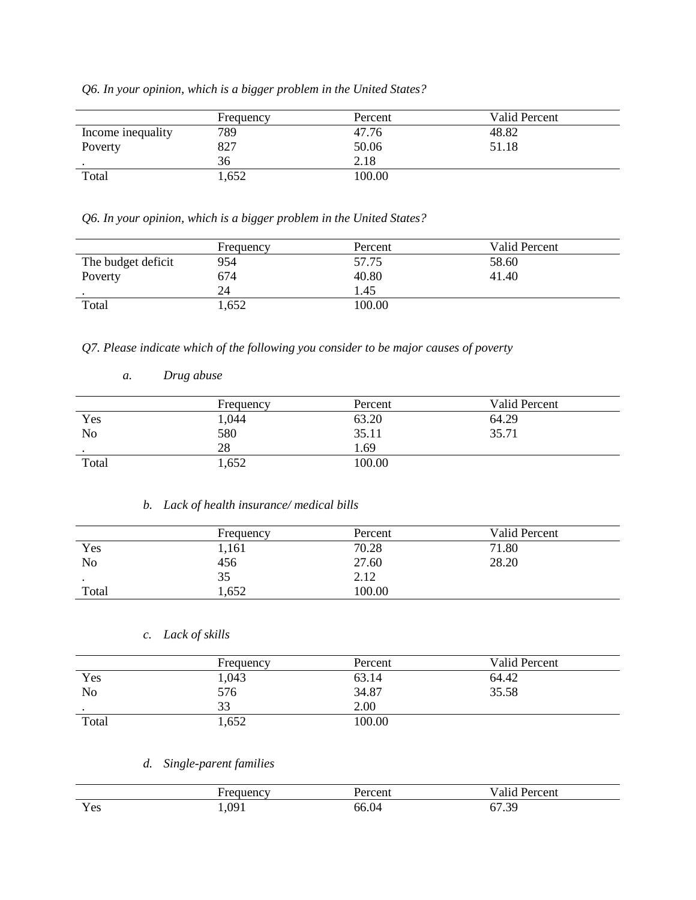*Q6. In your opinion, which is a bigger problem in the United States?*

|                   | Frequency | Percent | Valid Percent |
|-------------------|-----------|---------|---------------|
| Income inequality | 789       | 47.76   | 48.82         |
| Poverty           | 827       | 50.06   | 51.18         |
| $\bullet$         | 36        | 2.18    |               |
| Total             | 1,652     | 100.00  |               |

*Q6. In your opinion, which is a bigger problem in the United States?*

|                    | Frequency | Percent | Valid Percent |
|--------------------|-----------|---------|---------------|
| The budget deficit | 954       | 57.75   | 58.60         |
| Poverty            | 674       | 40.80   | 41.40         |
| $\cdot$            | 24        | 1.45    |               |
| Total              | 1,652     | 100.00  |               |

*Q7. Please indicate which of the following you consider to be major causes of poverty*

|                | Frequency | Percent | Valid Percent |
|----------------|-----------|---------|---------------|
| Yes            | 1,044     | 63.20   | 64.29         |
| N <sub>o</sub> | 580       | 35.11   | 35.71         |
| $\bullet$      | 28        | .69     |               |
| Total          | 1,652     | 100.00  |               |

#### *b. Lack of health insurance/ medical bills*

|       | Frequency | Percent | Valid Percent |
|-------|-----------|---------|---------------|
| Yes   | 1,161     | 70.28   | 71.80         |
| No    | 456       | 27.60   | 28.20         |
|       | 35        | 2.12    |               |
| Total | 1,652     | 100.00  |               |

### *c. Lack of skills*

*a. Drug abuse* 

|       | Frequency | Percent | Valid Percent |
|-------|-----------|---------|---------------|
| Yes   | 1,043     | 63.14   | 64.42         |
| No    | 576       | 34.87   | 35.58         |
|       | 33        | 2.00    |               |
| Total | 1,652     | 100.00  |               |

# *d. Single-parent families*

|                            | ww                | $\cdots$<br>∵C∏u | $\bullet$<br>– –<br>cent       |
|----------------------------|-------------------|------------------|--------------------------------|
| $\mathbf{v}$<br>Yes<br>100 | $\alpha$<br>1,021 | .04              | $\Omega$<br>--<br><u>ບ ، J</u> |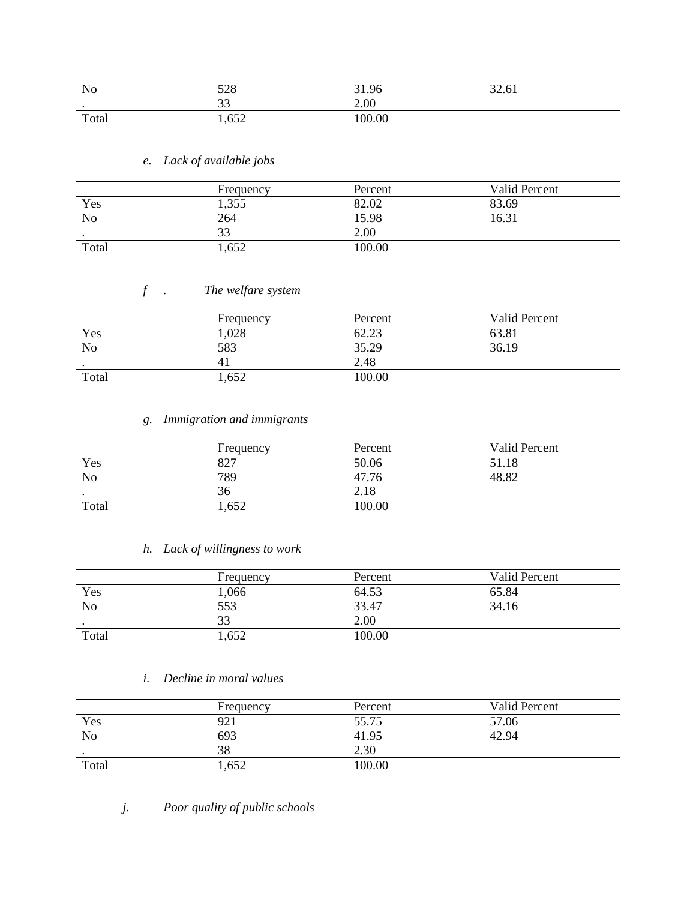| N <sub>o</sub> | 528     | 31.96 | 32.61 |
|----------------|---------|-------|-------|
| $\bullet$      | ົ<br>ээ | 2.00  |       |
| Total          | 1,652   | 00.00 |       |

## *e. Lack of available jobs*

|           | Frequency | Percent | Valid Percent |
|-----------|-----------|---------|---------------|
| Yes       | 1,355     | 82.02   | 83.69         |
| No        | 264       | 15.98   | 16.31         |
| $\bullet$ | 33        | 2.00    |               |
| Total     | 1,652     | 100.00  |               |

# *f . The welfare system*

|           | Frequency | Percent | Valid Percent |
|-----------|-----------|---------|---------------|
| Yes       | 1,028     | 62.23   | 63.81         |
| No        | 583       | 35.29   | 36.19         |
| $\bullet$ |           | 2.48    |               |
| Total     | 1,652     | 100.00  |               |

# *g. Immigration and immigrants*

|                | Frequency | Percent | Valid Percent |
|----------------|-----------|---------|---------------|
| Yes            | 827       | 50.06   | 51.18         |
| N <sub>o</sub> | 789       | 47.76   | 48.82         |
| $\bullet$      | 36        | 2.18    |               |
| Total          | 1,652     | 100.00  |               |

### *h. Lack of willingness to work*

|                | Frequency | Percent | Valid Percent |
|----------------|-----------|---------|---------------|
| Yes            | 1,066     | 64.53   | 65.84         |
| N <sub>o</sub> | 553       | 33.47   | 34.16         |
| $\bullet$      | 33        | 2.00    |               |
| Total          | 1,652     | 100.00  |               |

## *i. Decline in moral values*

|       | Frequency       | Percent | <b>Valid Percent</b> |
|-------|-----------------|---------|----------------------|
| Yes   | 92 <sub>1</sub> | 55.75   | 57.06                |
| No    | 693             | 41.95   | 42.94                |
|       | 38              | 2.30    |                      |
| Total | 1,652           | 100.00  |                      |

*j. Poor quality of public schools*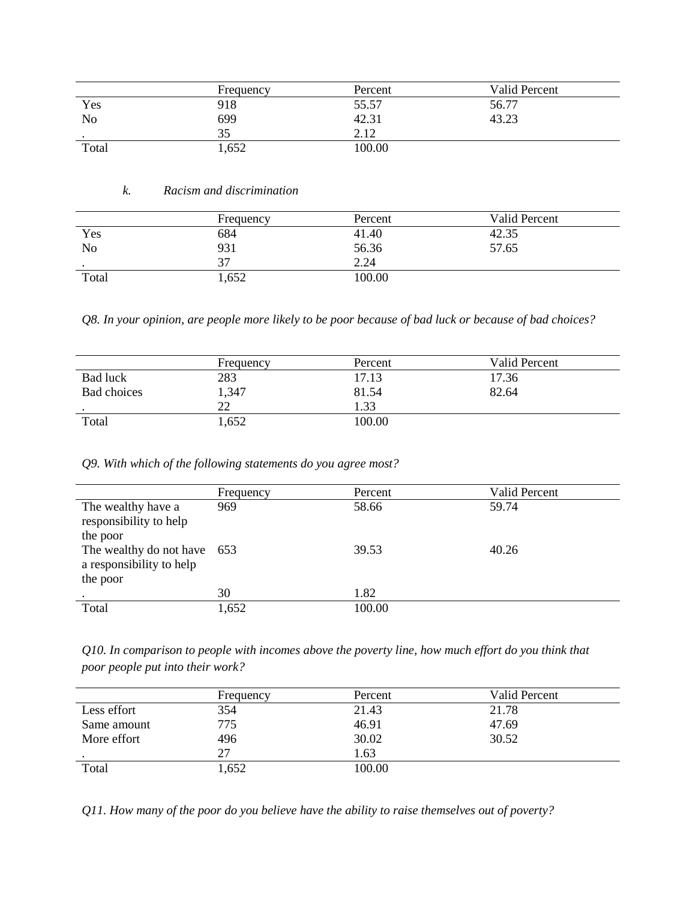|       | Frequency | Percent       | Valid Percent |
|-------|-----------|---------------|---------------|
| Yes   | 918       | 55.57         | 56.77         |
| No    | 699       | 42.31         | 43.23         |
|       | 35        | 212<br>4. I 4 |               |
| Total | 1,652     | 100.00        |               |

#### *k. Racism and discrimination*

|                 | Frequency | Percent | Valid Percent |
|-----------------|-----------|---------|---------------|
| Yes             | 684       | 41.40   | 42.35         |
| N <sub>o</sub>  | 931       | 56.36   | 57.65         |
| $\cdot$ $\cdot$ | 37        | 2.24    |               |
| Total           | 1,652     | 100.00  |               |

*Q8. In your opinion, are people more likely to be poor because of bad luck or because of bad choices?*

|             | Frequency | Percent | Valid Percent |  |
|-------------|-----------|---------|---------------|--|
| Bad luck    | 283       | 17.13   | 17.36         |  |
| Bad choices | 1,347     | 81.54   | 82.64         |  |
|             | າາ<br>∠∠  | .33     |               |  |
| Total       | 1,652     | 100.00  |               |  |

#### *Q9. With which of the following statements do you agree most?*

|                                                                     | Frequency | Percent | Valid Percent |
|---------------------------------------------------------------------|-----------|---------|---------------|
| The wealthy have a<br>responsibility to help<br>the poor            | 969       | 58.66   | 59.74         |
| The wealthy do not have 653<br>a responsibility to help<br>the poor |           | 39.53   | 40.26         |
|                                                                     | 30        | 1.82    |               |
| Total                                                               | 1,652     | 100.00  |               |

*Q10. In comparison to people with incomes above the poverty line, how much effort do you think that poor people put into their work?*

|             | Frequency | Percent | Valid Percent |
|-------------|-----------|---------|---------------|
| Less effort | 354       | 21.43   | 21.78         |
| Same amount | 775       | 46.91   | 47.69         |
| More effort | 496       | 30.02   | 30.52         |
|             | 27        | .63     |               |
| Total       | 1,652     | 100.00  |               |

*Q11. How many of the poor do you believe have the ability to raise themselves out of poverty?*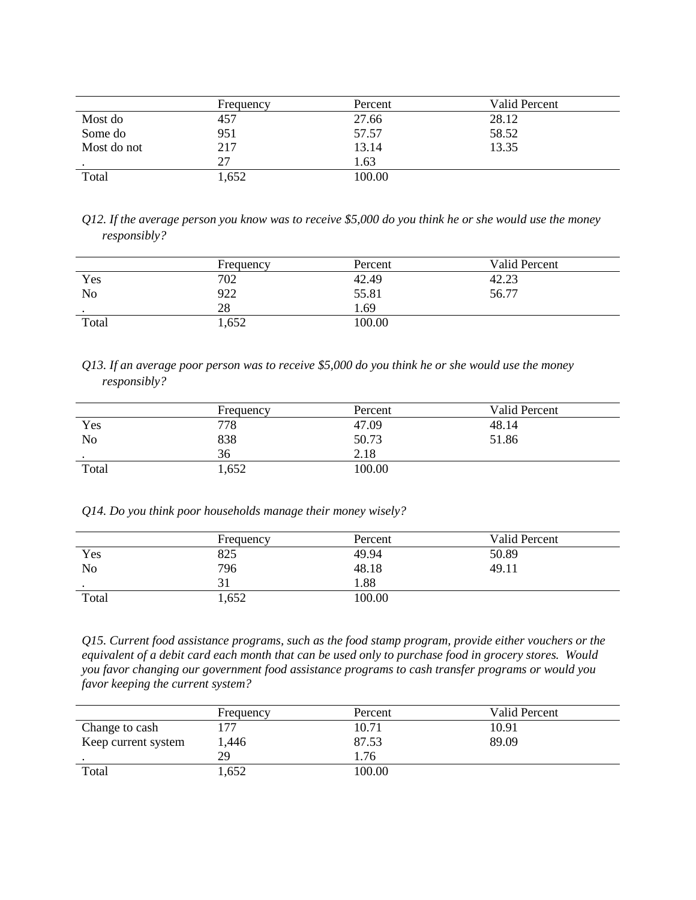|             | Frequency | Percent | Valid Percent |
|-------------|-----------|---------|---------------|
| Most do     | 457       | 27.66   | 28.12         |
| Some do     | 951       | 57.57   | 58.52         |
| Most do not | 217       | 13.14   | 13.35         |
|             | 27        | 1.63    |               |
| Total       | 1,652     | 100.00  |               |

| Q12. If the average person you know was to receive \$5,000 do you think he or she would use the money |  |  |
|-------------------------------------------------------------------------------------------------------|--|--|
| <i>responsibly?</i>                                                                                   |  |  |

|           | Frequency | Percent | <b>Valid Percent</b> |
|-----------|-----------|---------|----------------------|
| Yes       | 702       | 42.49   | 42.23                |
| No        | 922       | 55.81   | 56.77                |
| $\bullet$ | 28        | . 69    |                      |
| Total     | 1,652     | 100.00  |                      |

*Q13. If an average poor person was to receive \$5,000 do you think he or she would use the money responsibly?*

|         | Frequency | Percent | Valid Percent |
|---------|-----------|---------|---------------|
| Yes     | 778       | 47.09   | 48.14         |
| No      | 838       | 50.73   | 51.86         |
| $\cdot$ | 36        | 2.18    |               |
| Total   | 1,652     | 100.00  |               |

*Q14. Do you think poor households manage their money wisely?* 

|           | Frequency | Percent | <b>Valid Percent</b> |
|-----------|-----------|---------|----------------------|
| Yes       | 825       | 49.94   | 50.89                |
| No        | 796       | 48.18   | 49.11                |
| $\bullet$ |           | .88     |                      |
| Total     | 1,652     | 00.00   |                      |

*Q15. Current food assistance programs, such as the food stamp program, provide either vouchers or the equivalent of a debit card each month that can be used only to purchase food in grocery stores. Would you favor changing our government food assistance programs to cash transfer programs or would you favor keeping the current system?*

|                     | Frequency | Percent | Valid Percent |
|---------------------|-----------|---------|---------------|
| Change to cash      | 77        | 10.71   | 10.91         |
| Keep current system | l.446     | 87.53   | 89.09         |
|                     | 29        | .76     |               |
| Total               | .652      | 100.00  |               |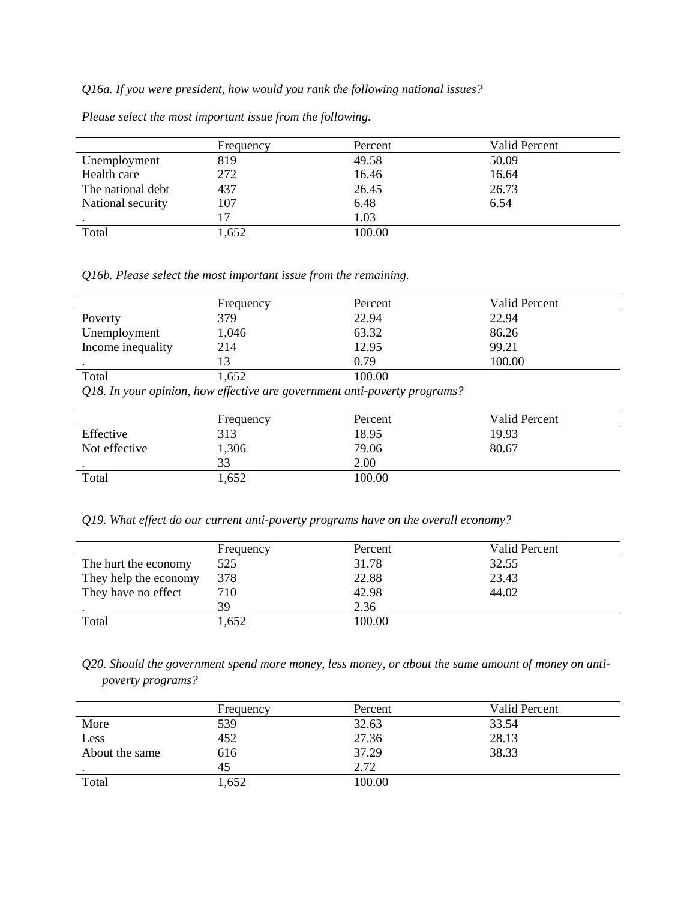*Q16a. If you were president, how would you rank the following national issues?*

|                   | Frequency | Percent | Valid Percent |
|-------------------|-----------|---------|---------------|
| Unemployment      | 819       | 49.58   | 50.09         |
| Health care       | 272       | 16.46   | 16.64         |
| The national debt | 437       | 26.45   | 26.73         |
| National security | 107       | 6.48    | 6.54          |
|                   | 17        | 1.03    |               |
| Total             | 1,652     | 100.00  |               |

*Please select the most important issue from the following.*

*Q16b. Please select the most important issue from the remaining.*

|                   | Frequency | Percent | Valid Percent |
|-------------------|-----------|---------|---------------|
| Poverty           | 379       | 22.94   | 22.94         |
| Unemployment      | 1,046     | 63.32   | 86.26         |
| Income inequality | 214       | 12.95   | 99.21         |
|                   | 13        | 0.79    | 100.00        |
| Total             | 1,652     | 100.00  |               |

*Q18. In your opinion, how effective are government anti-poverty programs?*

|               | Frequency | Percent | Valid Percent |
|---------------|-----------|---------|---------------|
| Effective     | 313       | 18.95   | 19.93         |
| Not effective | 1,306     | 79.06   | 80.67         |
| $\bullet$     | 33        | 2.00    |               |
| Total         | 1,652     | 100.00  |               |

*Q19. What effect do our current anti-poverty programs have on the overall economy?*

|                       | Frequency | Percent | Valid Percent |
|-----------------------|-----------|---------|---------------|
| The hurt the economy  | 525       | 31.78   | 32.55         |
| They help the economy | 378       | 22.88   | 23.43         |
| They have no effect   | 710       | 42.98   | 44.02         |
|                       | 39        | 2.36    |               |
| Total                 | 1.652     | 100.00  |               |

*Q20. Should the government spend more money, less money, or about the same amount of money on antipoverty programs?*

|                | Frequency | Percent | Valid Percent |
|----------------|-----------|---------|---------------|
| More           | 539       | 32.63   | 33.54         |
| Less           | 452       | 27.36   | 28.13         |
| About the same | 616       | 37.29   | 38.33         |
|                | 45        | 2.72    |               |
| Total          | 1,652     | 100.00  |               |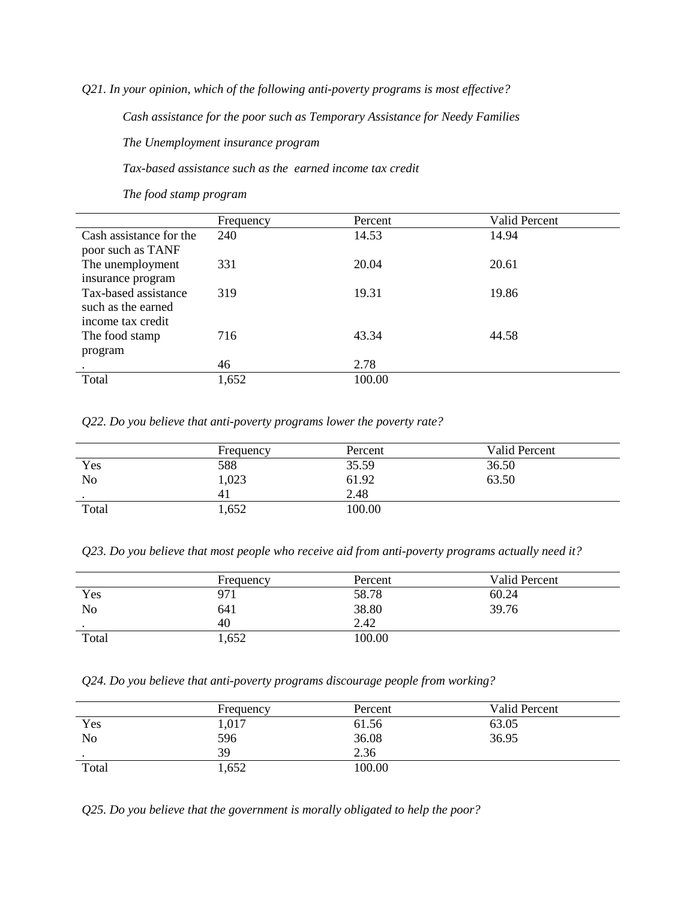*Q21. In your opinion, which of the following anti-poverty programs is most effective?*

*Cash assistance for the poor such as Temporary Assistance for Needy Families*

*The Unemployment insurance program*

*Tax-based assistance such as the earned income tax credit*

*The food stamp program*

|                         | Frequency | Percent | <b>Valid Percent</b> |
|-------------------------|-----------|---------|----------------------|
| Cash assistance for the | 240       | 14.53   | 14.94                |
| poor such as TANF       |           |         |                      |
| The unemployment        | 331       | 20.04   | 20.61                |
| insurance program       |           |         |                      |
| Tax-based assistance    | 319       | 19.31   | 19.86                |
| such as the earned      |           |         |                      |
| income tax credit       |           |         |                      |
| The food stamp          | 716       | 43.34   | 44.58                |
| program                 |           |         |                      |
|                         | 46        | 2.78    |                      |
| Total                   | 1,652     | 100.00  |                      |

*Q22. Do you believe that anti-poverty programs lower the poverty rate?*

|           | Frequency | Percent | Valid Percent |
|-----------|-----------|---------|---------------|
| Yes       | 588       | 35.59   | 36.50         |
| No        | 1,023     | 61.92   | 63.50         |
| $\bullet$ | 41        | 2.48    |               |
| Total     | 1,652     | 100.00  |               |

*Q23. Do you believe that most people who receive aid from anti-poverty programs actually need it?*

|                | Frequency       | Percent | Valid Percent |
|----------------|-----------------|---------|---------------|
| Yes            | 97 <sub>1</sub> | 58.78   | 60.24         |
| N <sub>o</sub> | 641             | 38.80   | 39.76         |
| $\bullet$      | 40              | 2.42    |               |
| Total          | 1,652           | 100.00  |               |

*Q24. Do you believe that anti-poverty programs discourage people from working?*

|                | Frequency | Percent | Valid Percent |
|----------------|-----------|---------|---------------|
| Yes            | 1,017     | 61.56   | 63.05         |
| N <sub>o</sub> | 596       | 36.08   | 36.95         |
| $\cdot$        | 39        | 2.36    |               |
| Total          | 1,652     | 100.00  |               |

*Q25. Do you believe that the government is morally obligated to help the poor?*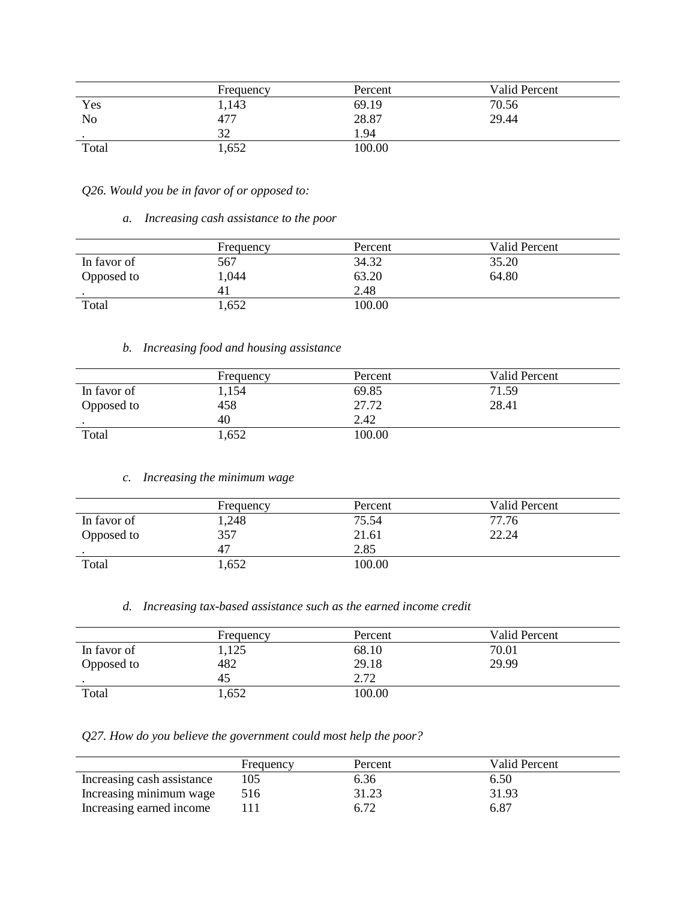|           | Frequency | Percent | Valid Percent |
|-----------|-----------|---------|---------------|
| Yes       | 1,143     | 69.19   | 70.56         |
| No        | 477       | 28.87   | 29.44         |
| $\bullet$ | 32        | 1.94    |               |
| Total     | 1,652     | 100.00  |               |

## *Q26. Would you be in favor of or opposed to:*

*a. Increasing cash assistance to the poor* 

|             | Frequency | Percent | Valid Percent |
|-------------|-----------|---------|---------------|
| In favor of | 567       | 34.32   | 35.20         |
| Opposed to  | 1,044     | 63.20   | 64.80         |
| $\bullet$   | 41        | 2.48    |               |
| Total       | 1,652     | 100.00  |               |

## *b. Increasing food and housing assistance*

|             | Frequency | Percent | Valid Percent |
|-------------|-----------|---------|---------------|
| In favor of | 1,154     | 69.85   | 71.59         |
| Opposed to  | 458       | 27.72   | 28.41         |
|             | 40        | 2.42    |               |
| Total       | 1,652     | 100.00  |               |

#### *c. Increasing the minimum wage*

|             | Frequency | Percent | Valid Percent |
|-------------|-----------|---------|---------------|
| In favor of | 1,248     | 75.54   | 77.76         |
| Opposed to  | 357       | 21.61   | 22.24         |
|             | 47        | 2.85    |               |
| Total       | 1,652     | 100.00  |               |

### *d. Increasing tax-based assistance such as the earned income credit*

|             | Frequency | Percent | Valid Percent |
|-------------|-----------|---------|---------------|
| In favor of | 1,125     | 68.10   | 70.01         |
| Opposed to  | 482       | 29.18   | 29.99         |
|             | 45        | 2.72    |               |
| Total       | 1,652     | 100.00  |               |

*Q27. How do you believe the government could most help the poor?* 

|                            | Frequency | Percent | Valid Percent |
|----------------------------|-----------|---------|---------------|
| Increasing cash assistance | 105       | 6.36    | 6.50          |
| Increasing minimum wage    | 516       | 31.23   | 31.93         |
| Increasing earned income   |           | 6.72    | 6.87          |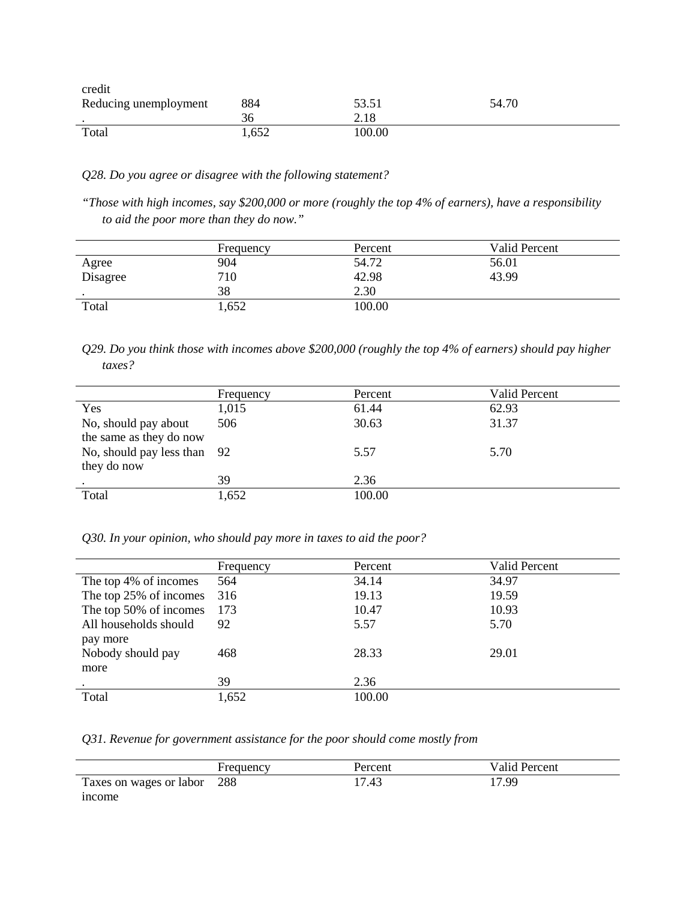| credit                |       |        |       |  |
|-----------------------|-------|--------|-------|--|
| Reducing unemployment | 884   | 53.51  | 54.70 |  |
|                       | 36    | 2.18   |       |  |
| Total                 | 1,652 | 100.00 |       |  |

*Q28. Do you agree or disagree with the following statement?*

*"Those with high incomes, say \$200,000 or more (roughly the top 4% of earners), have a responsibility to aid the poor more than they do now."*

|          | Frequency | Percent | Valid Percent |
|----------|-----------|---------|---------------|
| Agree    | 904       | 54.72   | 56.01         |
| Disagree | 710       | 42.98   | 43.99         |
|          | 38        | 2.30    |               |
| Total    | 1,652     | 100.00  |               |

*Q29. Do you think those with incomes above \$200,000 (roughly the top 4% of earners) should pay higher taxes?*

|                                                 | Frequency | Percent | Valid Percent |
|-------------------------------------------------|-----------|---------|---------------|
| Yes                                             | 1,015     | 61.44   | 62.93         |
| No, should pay about<br>the same as they do now | 506       | 30.63   | 31.37         |
| No, should pay less than 92<br>they do now      |           | 5.57    | 5.70          |
|                                                 | 39        | 2.36    |               |
| Total                                           | 1,652     | 100.00  |               |

### *Q30. In your opinion, who should pay more in taxes to aid the poor?*

|                        | Frequency | Percent | Valid Percent |
|------------------------|-----------|---------|---------------|
| The top 4% of incomes  | 564       | 34.14   | 34.97         |
| The top 25% of incomes | 316       | 19.13   | 19.59         |
| The top 50% of incomes | 173       | 10.47   | 10.93         |
| All households should  | 92        | 5.57    | 5.70          |
| pay more               |           |         |               |
| Nobody should pay      | 468       | 28.33   | 29.01         |
| more                   |           |         |               |
|                        | 39        | 2.36    |               |
| Total                  | 1,652     | 100.00  |               |

*Q31. Revenue for government assistance for the poor should come mostly from*

|                             | Frequency | Percent | Valid Percent |
|-----------------------------|-----------|---------|---------------|
| Taxes on wages or labor 288 |           | 17.43   | 17.99         |
| mcome                       |           |         |               |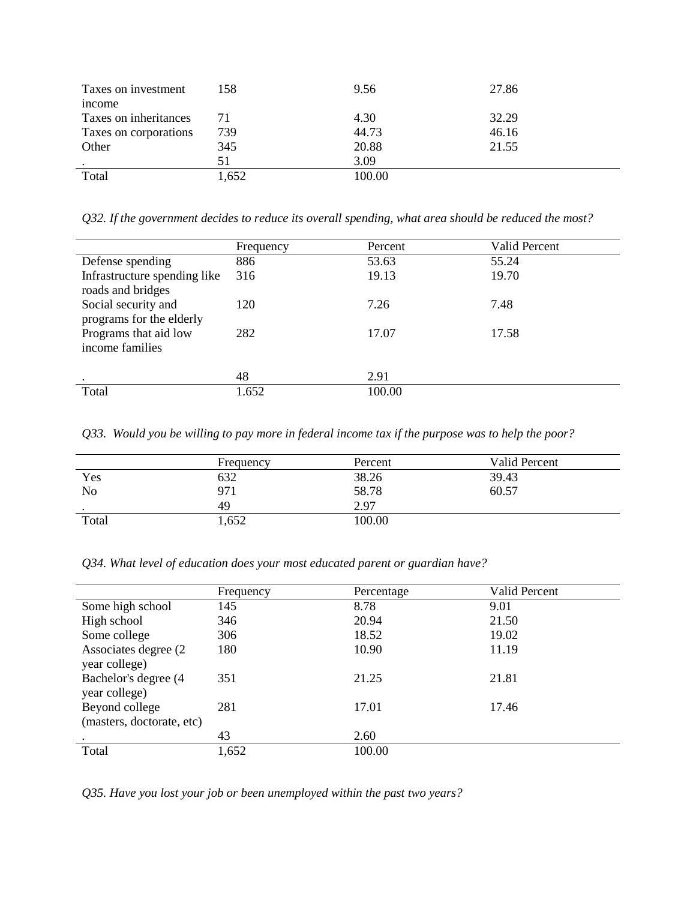| Taxes on investment<br>income | 158   | 9.56   | 27.86 |
|-------------------------------|-------|--------|-------|
| Taxes on inheritances         | 71    | 4.30   | 32.29 |
| Taxes on corporations         | 739   | 44.73  | 46.16 |
| Other                         | 345   | 20.88  | 21.55 |
|                               | 51    | 3.09   |       |
| Total                         | 1,652 | 100.00 |       |

*Q32. If the government decides to reduce its overall spending, what area should be reduced the most?*

|                                                   | Frequency | Percent | <b>Valid Percent</b> |
|---------------------------------------------------|-----------|---------|----------------------|
| Defense spending                                  | 886       | 53.63   | 55.24                |
| Infrastructure spending like<br>roads and bridges | 316       | 19.13   | 19.70                |
| Social security and<br>programs for the elderly   | 120       | 7.26    | 7.48                 |
| Programs that aid low<br>income families          | 282       | 17.07   | 17.58                |
|                                                   | 48        | 2.91    |                      |
| Total                                             | 1.652     | 100.00  |                      |

*Q33. Would you be willing to pay more in federal income tax if the purpose was to help the poor?*

|                | Frequency | Percent | <b>Valid Percent</b> |
|----------------|-----------|---------|----------------------|
| Yes            | 632       | 38.26   | 39.43                |
| N <sub>o</sub> | 971       | 58.78   | 60.57                |
| $\bullet$      | 49        | 2.97    |                      |
| Total          | 1,652     | 100.00  |                      |

*Q34. What level of education does your most educated parent or guardian have?* 

|                                       | Frequency | Percentage | Valid Percent |
|---------------------------------------|-----------|------------|---------------|
| Some high school                      | 145       | 8.78       | 9.01          |
| High school                           | 346       | 20.94      | 21.50         |
| Some college                          | 306       | 18.52      | 19.02         |
| Associates degree (2)                 | 180       | 10.90      | 11.19         |
| year college)                         |           |            |               |
| Bachelor's degree (4<br>year college) | 351       | 21.25      | 21.81         |
| Beyond college                        | 281       | 17.01      | 17.46         |
| (masters, doctorate, etc)             |           |            |               |
|                                       | 43        | 2.60       |               |
| Total                                 | 1,652     | 100.00     |               |

*Q35. Have you lost your job or been unemployed within the past two years?*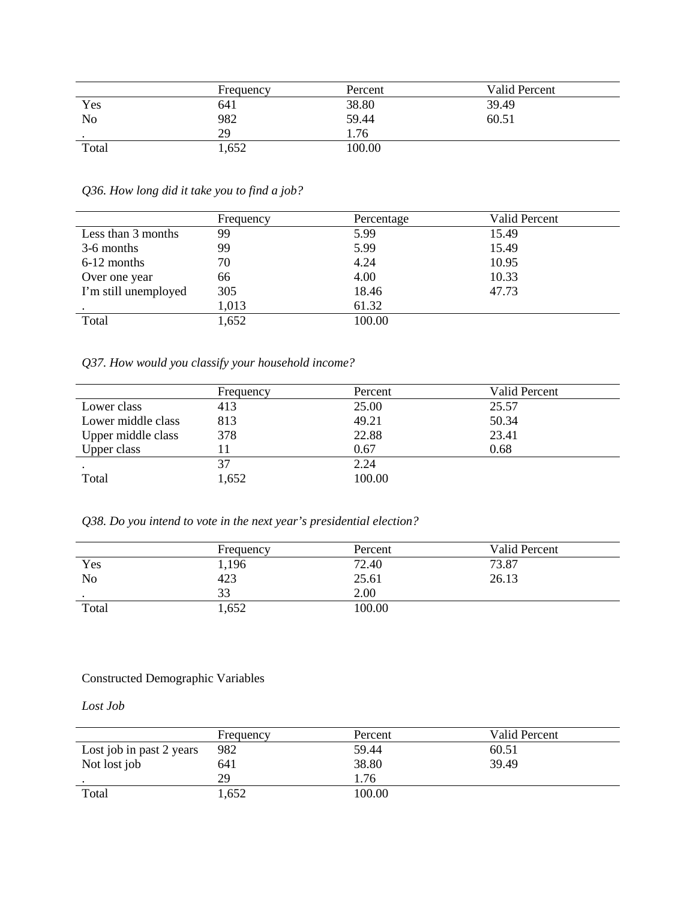|           | Frequency | Percent | Valid Percent |
|-----------|-----------|---------|---------------|
| Yes       | 641       | 38.80   | 39.49         |
| No        | 982       | 59.44   | 60.51         |
| $\bullet$ | 29        | 1.76    |               |
| Total     | 1,652     | 100.00  |               |

*Q36. How long did it take you to find a job?*

|                      | Frequency | Percentage | Valid Percent |
|----------------------|-----------|------------|---------------|
| Less than 3 months   | 99        | 5.99       | 15.49         |
| 3-6 months           | 99        | 5.99       | 15.49         |
| 6-12 months          | 70        | 4.24       | 10.95         |
| Over one year        | 66        | 4.00       | 10.33         |
| I'm still unemployed | 305       | 18.46      | 47.73         |
|                      | 1,013     | 61.32      |               |
| Total                | 1,652     | 100.00     |               |

*Q37. How would you classify your household income?*

|                    | Frequency | Percent | Valid Percent |
|--------------------|-----------|---------|---------------|
| Lower class        | 413       | 25.00   | 25.57         |
| Lower middle class | 813       | 49.21   | 50.34         |
| Upper middle class | 378       | 22.88   | 23.41         |
| Upper class        |           | 0.67    | 0.68          |
|                    | 37        | 2.24    |               |
| Total              | 1,652     | 100.00  |               |

*Q38. Do you intend to vote in the next year's presidential election?*

|           | Frequency | Percent | Valid Percent |
|-----------|-----------|---------|---------------|
| Yes       | 1,196     | 72.40   | 73.87         |
| No        | 423       | 25.61   | 26.13         |
| $\bullet$ | 33        | 2.00    |               |
| Total     | 1,652     | 100.00  |               |

## Constructed Demographic Variables

*Lost Job*

|                          | Frequency | Percent | Valid Percent |
|--------------------------|-----------|---------|---------------|
| Lost job in past 2 years | 982       | 59.44   | 60.51         |
| Not lost job             | 641       | 38.80   | 39.49         |
|                          | 29        | I.76    |               |
| Total                    | 1,652     | 100.00  |               |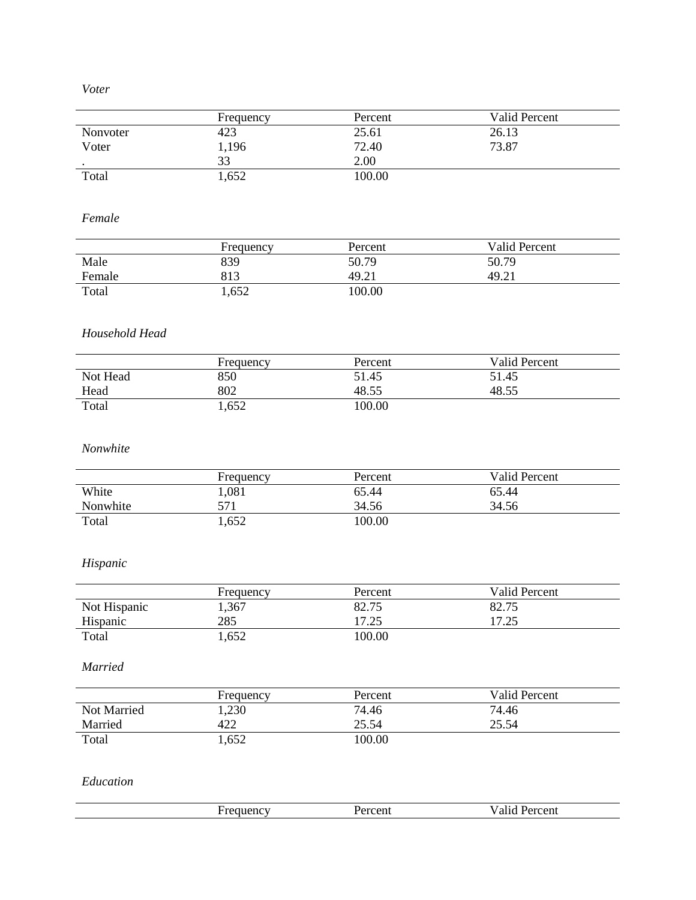*Voter*

|           | Frequency | Percent | <b>Valid Percent</b> |
|-----------|-----------|---------|----------------------|
| Nonvoter  | 423       | 25.61   | 26.13                |
| Voter     | 1,196     | 72.40   | 73.87                |
| $\bullet$ | 33        | 2.00    |                      |
| Total     | 1,652     | 100.00  |                      |

*Female*

|        | Frequency | Percent | Valid Percent |
|--------|-----------|---------|---------------|
| Male   | 839       | 50.79   | 50.79         |
| Female | 813       | 49.21   | 49.21         |
| Total  | 1,652     | 100.00  |               |

# *Household Head*

|          | Frequency | Percent | <b>Valid Percent</b> |
|----------|-----------|---------|----------------------|
| Not Head | 850       | 51.45   | 51.45                |
| Head     | 802       | 48.55   | 48.55                |
| Total    | 1,652     | 00.00   |                      |

### *Nonwhite*

|          | Frequency | Percent | <b>Valid Percent</b> |
|----------|-----------|---------|----------------------|
| White    | 1,081     | 65.44   | 65.44                |
| Nonwhite | 571       | 34.56   | 34.56                |
| Total    | 1,652     | 100.00  |                      |

# *Hispanic*

|              | Frequency | Percent | Valid Percent |
|--------------|-----------|---------|---------------|
| Not Hispanic | 1,367     | 82.75   | 82.75         |
| Hispanic     | 285       | 17.25   | 17 25<br>د.∠. |
| Total        | 1,652     | 100.00  |               |

*Married*

|             | Frequency | Percent | Valid Percent |
|-------------|-----------|---------|---------------|
| Not Married | 1,230     | 74.46   | 74.46         |
| Married     | 422       | 25.54   | 25.54         |
| Total       | 1,652     | 00.00   |               |

*Education*

| $-$<br>יו ווי<br>21 I C<br>- - | 100000<br>. .<br>$\sim$ UII | 'ercent<br>' al. |
|--------------------------------|-----------------------------|------------------|
|                                |                             |                  |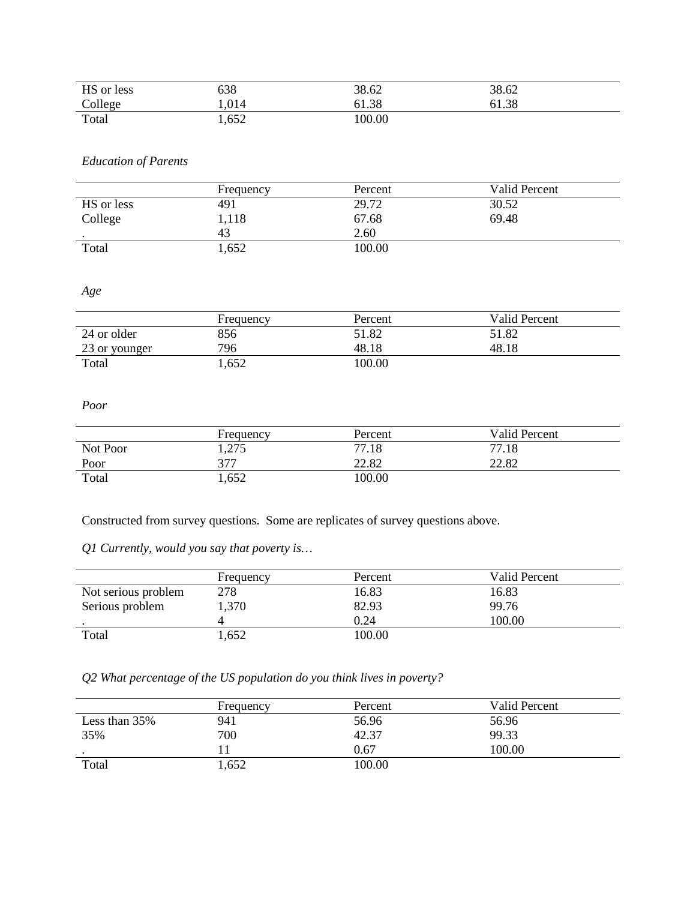| HS or less | 638  | 38.62 | 38.62 |
|------------|------|-------|-------|
| College    | .014 | 61.38 | 61.38 |
| Total      | ,652 | 00.00 |       |

# *Education of Parents*

|            | Frequency | Percent | Valid Percent |
|------------|-----------|---------|---------------|
| HS or less | 491       | 29.72   | 30.52         |
| College    | 1,118     | 67.68   | 69.48         |
|            | 43        | 2.60    |               |
| Total      | 1,652     | 100.00  |               |

*Age*

|               | Frequency | Percent | Valid Percent |
|---------------|-----------|---------|---------------|
| 24 or older   | 856       | 51.82   | 51.82         |
| 23 or younger | 796       | 48.18   | 48.18         |
| Total         | 1,652     | 00.00   |               |

#### *Poor*

|          | Frequency | Percent | Valid Percent |
|----------|-----------|---------|---------------|
| Not Poor | 1,275     | 77.18   | 77.18         |
| Poor     | 377       | 22.82   | 22.82         |
| Total    | 1,652     | 100.00  |               |

Constructed from survey questions. Some are replicates of survey questions above.

*Q1 Currently, would you say that poverty is…*

|                     | Frequency | Percent | Valid Percent |
|---------------------|-----------|---------|---------------|
| Not serious problem | 278       | 16.83   | 16.83         |
| Serious problem     | 1,370     | 82.93   | 99.76         |
|                     |           | 0.24    | 100.00        |
| Total               | .652      | 100.00  |               |

# *Q2 What percentage of the US population do you think lives in poverty?*

|               | Frequency | Percent | Valid Percent |  |
|---------------|-----------|---------|---------------|--|
| Less than 35% | 941       | 56.96   | 56.96         |  |
| 35%           | 700       | 42.37   | 99.33         |  |
|               |           | 0.67    | 100.00        |  |
| Total         | 1,652     | 100.00  |               |  |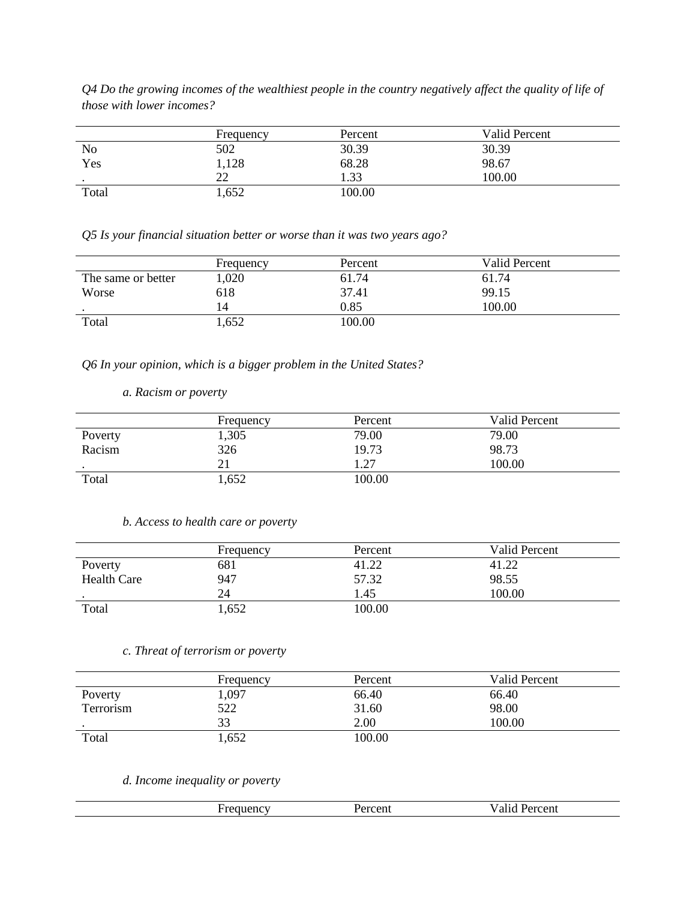*Q4 Do the growing incomes of the wealthiest people in the country negatively affect the quality of life of those with lower incomes?*

|           | Frequency | Percent | Valid Percent |
|-----------|-----------|---------|---------------|
| No        | 502       | 30.39   | 30.39         |
| Yes       | ,128      | 68.28   | 98.67         |
| $\bullet$ | າາ<br>∠∠  | .33     | 100.00        |
| Total     | .652      | 100.00  |               |

*Q5 Is your financial situation better or worse than it was two years ago?*

|                    | Frequency | Percent | Valid Percent |
|--------------------|-----------|---------|---------------|
| The same or better | ,020      | 61.74   | 61.74         |
| Worse              | 618       | 37.41   | 99.15         |
| $\bullet$          | 14        | 0.85    | 100.00        |
| Total              | .652      | 100.00  |               |

*Q6 In your opinion, which is a bigger problem in the United States?*

*a. Racism or poverty*

|         | Frequency | Percent | Valid Percent |
|---------|-----------|---------|---------------|
| Poverty | 1,305     | 79.00   | 79.00         |
| Racism  | 326       | 19.73   | 98.73         |
|         | 21        | . .27   | 100.00        |
| Total   | 1,652     | 100.00  |               |

#### *b. Access to health care or poverty*

|                    | Frequency | Percent | Valid Percent |
|--------------------|-----------|---------|---------------|
| Poverty            | 681       | 41.22   |               |
| <b>Health Care</b> | 947       | 57.32   | 98.55         |
|                    | 24        | .45     | 100.00        |
| Total              | 1,652     | 100.00  |               |

### *c. Threat of terrorism or poverty*

|           | Frequency | Percent | Valid Percent |
|-----------|-----------|---------|---------------|
| Poverty   | 1,097     | 66.40   | 66.40         |
| Terrorism | 522       | 31.60   | 98.00         |
| $\bullet$ | 33        | 2.00    | 100.00        |
| Total     | 1,652     | 100.00  |               |

*d. Income inequality or poverty*

| uenc | ∵CII.<br>. | $\sim$ $\sim$ 10.4<br><b>CEIIL</b><br>$  -$ |
|------|------------|---------------------------------------------|
|      |            |                                             |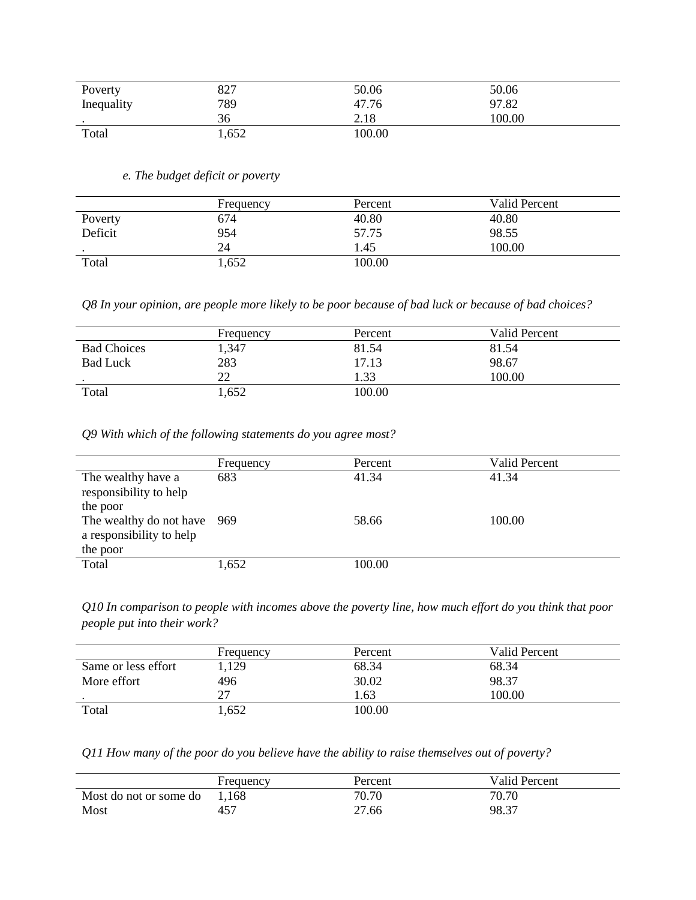| Poverty    | 827   | 50.06  | 50.06  |  |
|------------|-------|--------|--------|--|
| Inequality | 789   | 47.76  | 97.82  |  |
| $\bullet$  | 36    | 2.18   | 100.00 |  |
| Total      | 1,652 | 100.00 |        |  |

*e. The budget deficit or poverty*

|         | Frequency | Percent | Valid Percent |
|---------|-----------|---------|---------------|
| Poverty | 674       | 40.80   | 40.80         |
| Deficit | 954       | 57.75   | 98.55         |
|         | 24        | .45     | 100.00        |
| Total   | 1,652     | 100.00  |               |

*Q8 In your opinion, are people more likely to be poor because of bad luck or because of bad choices?*

|                    | Frequency | Percent | Valid Percent |
|--------------------|-----------|---------|---------------|
| <b>Bad Choices</b> | 1,347     | 81.54   | 81.54         |
| <b>Bad Luck</b>    | 283       | 17.13   | 98.67         |
|                    | 22        | .33     | 100.00        |
| Total              | 1,652     | 100.00  |               |

*Q9 With which of the following statements do you agree most?*

|                                                                     | Frequency | Percent | Valid Percent |
|---------------------------------------------------------------------|-----------|---------|---------------|
| The wealthy have a<br>responsibility to help<br>the poor            | 683       | 41.34   | 41.34         |
| The wealthy do not have 969<br>a responsibility to help<br>the poor |           | 58.66   | 100.00        |
| Total                                                               | 1,652     | 100.00  |               |

*Q10 In comparison to people with incomes above the poverty line, how much effort do you think that poor people put into their work?*

|                     | Frequency | Percent | Valid Percent |
|---------------------|-----------|---------|---------------|
| Same or less effort | 1,129     | 68.34   | 68.34         |
| More effort         | 496       | 30.02   | 98.37         |
|                     | 27        | .63     | 100.00        |
| Total               | 1,652     | 00.00   |               |

*Q11 How many of the poor do you believe have the ability to raise themselves out of poverty?*

|                        | Frequency | Percent | Valid Percent |
|------------------------|-----------|---------|---------------|
| Most do not or some do | 1,168     | 70.70   | 70.70         |
| Most                   | 457       | 27.66   | 98.37         |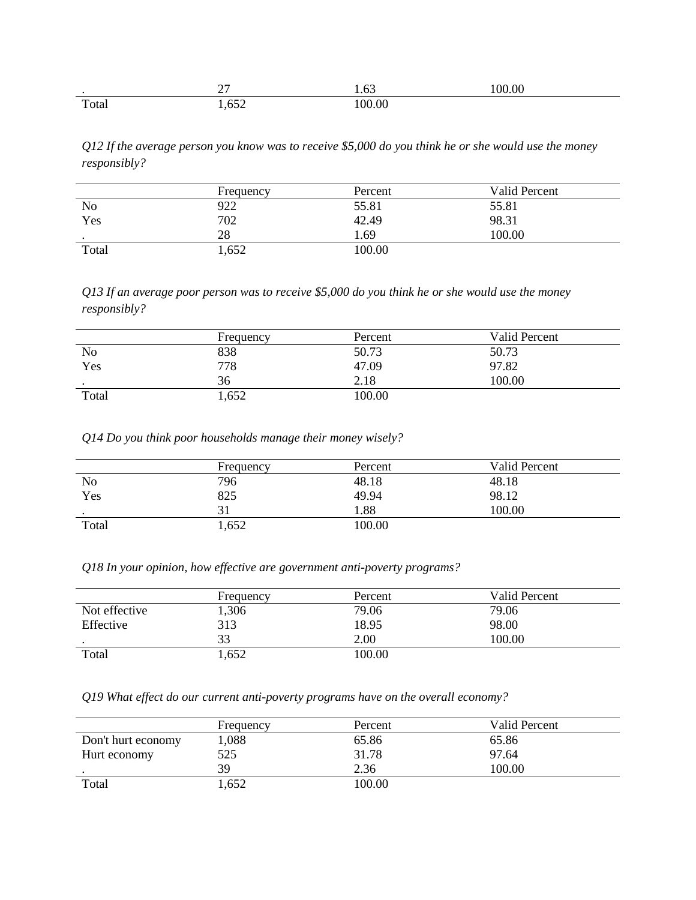|                       | $\sim$ $-$<br>$\overline{\phantom{a}}$ | $\sim$<br>63<br>. | 00.00 |
|-----------------------|----------------------------------------|-------------------|-------|
| $\mathbf{r}$<br>Total | ---<br>$\sim$<br>$\sim$ $-$            | 00.00             |       |

*Q12 If the average person you know was to receive \$5,000 do you think he or she would use the money responsibly?*

|                | Frequency | Percent | Valid Percent |
|----------------|-----------|---------|---------------|
| N <sub>o</sub> | 922       | 55.81   | 55.81         |
| Yes            | 702       | 42.49   | 98.31         |
| $\bullet$      | 28        | . 69    | 100.00        |
| Total          | 1,652     | 100.00  |               |

*Q13 If an average poor person was to receive \$5,000 do you think he or she would use the money responsibly?*

|                | Frequency | Percent | Valid Percent |
|----------------|-----------|---------|---------------|
| N <sub>o</sub> | 838       | 50.73   | 50.73         |
| Yes            | 778       | 47.09   | 97.82         |
| $\bullet$      | 36        | 2.18    | 100.00        |
| Total          | 1,652     | 100.00  |               |

*Q14 Do you think poor households manage their money wisely?*

|                | Frequency | Percent | Valid Percent |
|----------------|-----------|---------|---------------|
| N <sub>o</sub> | 796       | 48.18   | 48.18         |
| Yes            | 825       | 49.94   | 98.12         |
| $\cdot$        |           | .88     | 100.00        |
| Total          | 1,652     | 100.00  |               |

*Q18 In your opinion, how effective are government anti-poverty programs?*

|               | Frequency | Percent | Valid Percent |
|---------------|-----------|---------|---------------|
| Not effective | .306      | 79.06   | 79.06         |
| Effective     | 313       | 18.95   | 98.00         |
|               | 33        | 2.00    | 100.00        |
| Total         | .,652     | 100.00  |               |

*Q19 What effect do our current anti-poverty programs have on the overall economy?*

|                    | Frequency | Percent | Valid Percent |
|--------------------|-----------|---------|---------------|
| Don't hurt economy | 1,088     | 65.86   | 65.86         |
| Hurt economy       | 525       | 31.78   | 97.64         |
|                    | 39        | 2.36    | 100.00        |
| Total              | 1,652     | 100.00  |               |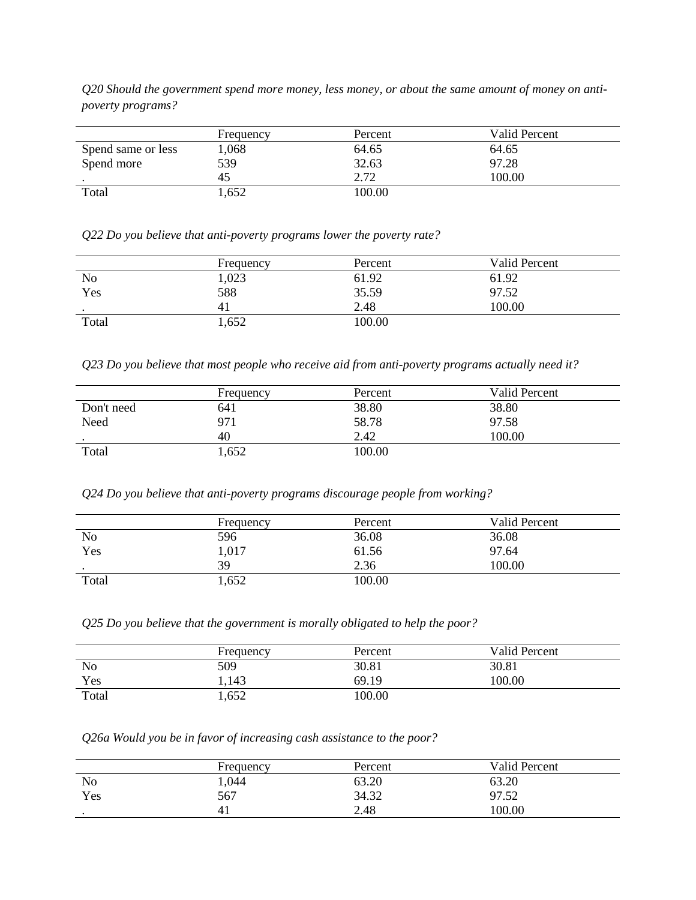*Q20 Should the government spend more money, less money, or about the same amount of money on antipoverty programs?*

|                    | Frequency | Percent | Valid Percent |
|--------------------|-----------|---------|---------------|
| Spend same or less | 1,068     | 64.65   | 64.65         |
| Spend more         | 539       | 32.63   | 97.28         |
|                    | 45        | 2.72    | 100.00        |
| Total              | .652      | 100.00  |               |

*Q22 Do you believe that anti-poverty programs lower the poverty rate?*

|       | Frequency | Percent | Valid Percent |
|-------|-----------|---------|---------------|
| No    | 1,023     | 61.92   | 61.92         |
| Yes   | 588       | 35.59   | 97.52         |
|       |           | 2.48    | 100.00        |
| Total | 1,652     | 100.00  |               |

*Q23 Do you believe that most people who receive aid from anti-poverty programs actually need it?*

|            | Frequency | Percent | Valid Percent |
|------------|-----------|---------|---------------|
| Don't need | 641       | 38.80   | 38.80         |
| Need       | 971       | 58.78   | 97.58         |
|            | 40        | 2.42    | 100.00        |
| Total      | 1,652     | 100.00  |               |

*Q24 Do you believe that anti-poverty programs discourage people from working?*

|                | Frequency | Percent | Valid Percent |  |
|----------------|-----------|---------|---------------|--|
| N <sub>o</sub> | 596       | 36.08   | 36.08         |  |
| Yes            | 1,017     | 61.56   | 97.64         |  |
| $\bullet$      | 39        | 2.36    | 100.00        |  |
| Total          | 1,652     | 100.00  |               |  |

*Q25 Do you believe that the government is morally obligated to help the poor?*

|       | Frequency | Percent | Valid Percent |
|-------|-----------|---------|---------------|
| No    | 509       | 30.81   | 30.81         |
| Yes   | 1,143     | 69.19   | 100.00        |
| Total | 1,652     | 100.00  |               |

*Q26a Would you be in favor of increasing cash assistance to the poor?*

|                | Frequency | Percent | <b>Valid Percent</b> |  |
|----------------|-----------|---------|----------------------|--|
| N <sub>o</sub> | 1,044     | 63.20   | 63.20                |  |
| Yes            | 567       | 34.32   | 0752<br>∠ر… ا        |  |
|                | 41        | 2.48    | 100.00               |  |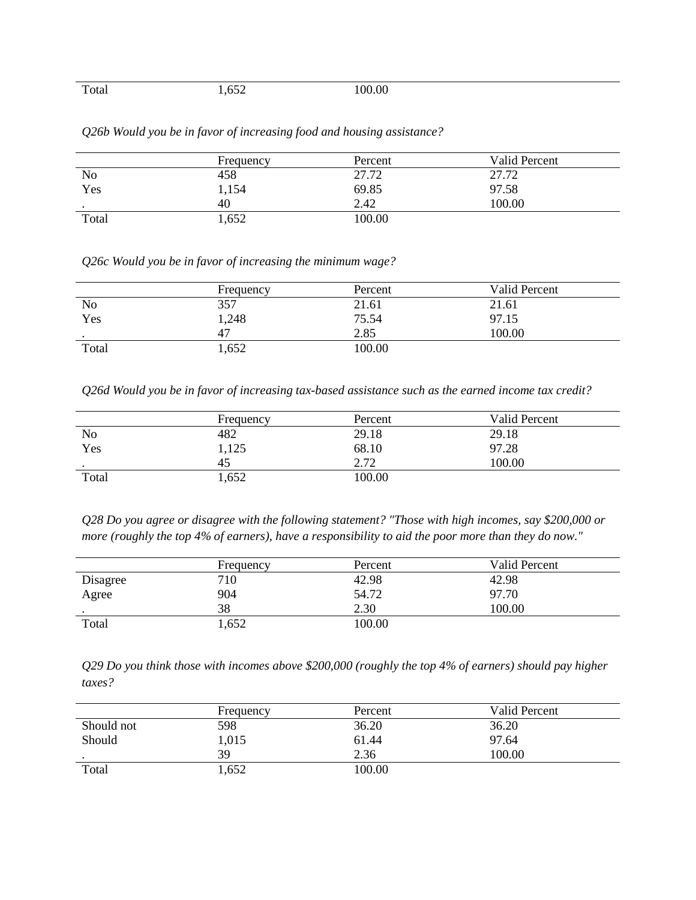| Total | .,652 | 100.00 |
|-------|-------|--------|
|       |       |        |

|                | Frequency | Percent | <b>Valid Percent</b> |
|----------------|-----------|---------|----------------------|
| N <sub>o</sub> | 458       | 27.72   | 27.72                |
| Yes            | 1,154     | 69.85   | 97.58                |
| $\cdot$        | 40        | 2.42    | 100.00               |
| Total          | 1,652     | 100.00  |                      |

*Q26b Would you be in favor of increasing food and housing assistance?*

*Q26c Would you be in favor of increasing the minimum wage?*

|           | Frequency | Percent | <b>Valid Percent</b> |
|-----------|-----------|---------|----------------------|
| <b>No</b> | 357       | 21.61   | 21.61                |
| Yes       | 1,248     | 75.54   | 97.15                |
| $\bullet$ | 47        | 2.85    | 100.00               |
| Total     | .652      | 100.00  |                      |

*Q26d Would you be in favor of increasing tax-based assistance such as the earned income tax credit?*

|                | Frequency | Percent | Valid Percent |
|----------------|-----------|---------|---------------|
| N <sub>o</sub> | 482       | 29.18   | 29.18         |
| Yes            | 1,125     | 68.10   | 97.28         |
|                | 45        | 2.72    | 100.00        |
| Total          | 1,652     | 100.00  |               |

*Q28 Do you agree or disagree with the following statement? "Those with high incomes, say \$200,000 or more (roughly the top 4% of earners), have a responsibility to aid the poor more than they do now."*

|          | Frequency | Percent | <b>Valid Percent</b> |
|----------|-----------|---------|----------------------|
| Disagree | 710       | 42.98   | 42.98                |
| Agree    | 904       | 54.72   | 97.70                |
|          | 38        | 2.30    | 100.00               |
| Total    | 1,652     | 100.00  |                      |

*Q29 Do you think those with incomes above \$200,000 (roughly the top 4% of earners) should pay higher taxes?*

|            | Frequency | Percent | <b>Valid Percent</b> |
|------------|-----------|---------|----------------------|
| Should not | 598       | 36.20   | 36.20                |
| Should     | 1,015     | 61.44   | 97.64                |
| $\bullet$  | 39        | 2.36    | 100.00               |
| Total      | .,652     | 100.00  |                      |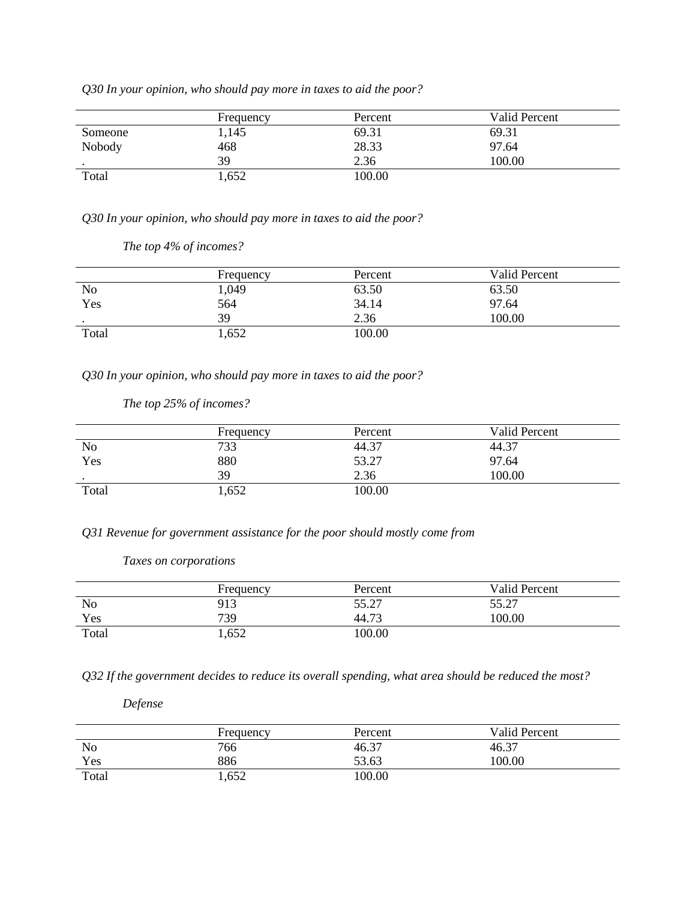|         | Frequency | Percent | Valid Percent |
|---------|-----------|---------|---------------|
| Someone | 1,145     | 69.31   | 69.31         |
| Nobody  | 468       | 28.33   | 97.64         |
|         | 39        | 2.36    | 100.00        |
| Total   | .652      | 100.00  |               |

*Q30 In your opinion, who should pay more in taxes to aid the poor?*

*Q30 In your opinion, who should pay more in taxes to aid the poor?*

|           | Frequency | Percent | <b>Valid Percent</b> |
|-----------|-----------|---------|----------------------|
| No        | 1,049     | 63.50   | 63.50                |
| Yes       | 564       | 34.14   | 97.64                |
| $\bullet$ | 39        | 2.36    | 100.00               |
| Total     | 1,652     | 100.00  |                      |

*Q30 In your opinion, who should pay more in taxes to aid the poor?*

|                | Frequency | Percent | Valid Percent |
|----------------|-----------|---------|---------------|
| N <sub>o</sub> | 733       | 44.37   | 44.37         |
| Yes            | 880       | 53.27   | 97.64         |
| $\bullet$      | 39        | 2.36    | 100.00        |
| Total          | 1,652     | 100.00  |               |

*The top 25% of incomes?*

*Q31 Revenue for government assistance for the poor should mostly come from*

#### *Taxes on corporations*

|       | Frequency | Percent | Valid Percent |
|-------|-----------|---------|---------------|
| No    | 913       | 55.27   | 55.27         |
| Yes   | 739       | 44.73   | 100.00        |
| Total | 1,652     | 100.00  |               |

*Q32 If the government decides to reduce its overall spending, what area should be reduced the most?*

*Defense*

|       | Frequency | Percent | Valid Percent |
|-------|-----------|---------|---------------|
| No    | 766       | 46.37   | 46.37         |
| Yes   | 886       | 53.63   | 100.00        |
| Total | 1,652     | 00.00   |               |